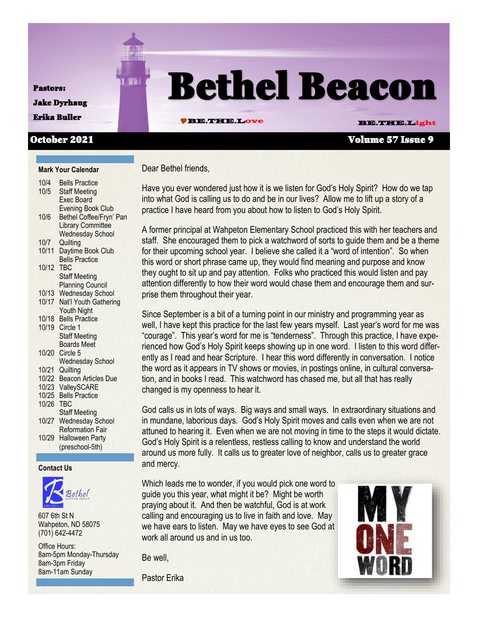#### Pastors:

**FIREY Bethel Beacon** Jake Dyrhaug

## Erika Buller **BE.DE. BE.THE.Love BE.THE.Light**

#### October 2021 Volume 57 Issue 9

#### **Mark Your Calendar**  $10/4$  Bells Practice

| 1 V/4 | Della Fidulue              |
|-------|----------------------------|
| 10/5  | <b>Staff Meeting</b>       |
|       | Exec Board                 |
|       | <b>Evening Book Club</b>   |
| 10/6  | Bethel Coffee/Fryn' Pan    |
|       | <b>Library Committee</b>   |
|       | <b>Wednesday School</b>    |
| 10/7  | Quilting                   |
| 10/11 | Daytime Book Club          |
|       | <b>Bells Practice</b>      |
| 10/12 | TBC                        |
|       | <b>Staff Meeting</b>       |
|       | <b>Planning Council</b>    |
| 10/13 | <b>Wednesday School</b>    |
| 10/17 | Nat'l Youth Gathering      |
|       | Youth Night                |
| 10/18 | <b>Bells Practice</b>      |
| 10/19 | Circle 1                   |
|       | <b>Staff Meeting</b>       |
|       | <b>Boards Meet</b>         |
| 10/20 | Circle 5                   |
|       | <b>Wednesday School</b>    |
| 10/21 | Quilting                   |
| 10/22 | <b>Beacon Articles Due</b> |
| 10/23 | ValleySCARE                |
| 10/25 | <b>Bells Practice</b>      |
| 10/26 | TBC                        |
|       | <b>Staff Meeting</b>       |
| 10/27 | <b>Wednesday School</b>    |
|       | <b>Reformation Fair</b>    |
| 10/29 | Halloween Party            |
|       | (preschool-5th)            |
|       |                            |

#### **Contact Us**



607 6th St N Wahpeton, ND 58075 (701) 642-4472

Office Hours: 8am-5pm Monday-Thursday 8am-3pm Friday 8am-11am Sunday

Dear Bethel friends,

Have you ever wondered just how it is we listen for God's Holy Spirit? How do we tap into what God is calling us to do and be in our lives? Allow me to lift up a story of a practice I have heard from you about how to listen to God's Holy Spirit.

A former principal at Wahpeton Elementary School practiced this with her teachers and staff. She encouraged them to pick a watchword of sorts to guide them and be a theme for their upcoming school year. I believe she called it a "word of intention". So when this word or short phrase came up, they would find meaning and purpose and know they ought to sit up and pay attention. Folks who practiced this would listen and pay attention differently to how their word would chase them and encourage them and surprise them throughout their year.

Since September is a bit of a turning point in our ministry and programming year as well, I have kept this practice for the last few years myself. Last year's word for me was "courage". This year's word for me is "tenderness". Through this practice, I have experienced how God's Holy Spirit keeps showing up in one word. I listen to this word differently as I read and hear Scripture. I hear this word differently in conversation. I notice the word as it appears in TV shows or movies, in postings online, in cultural conversation, and in books I read. This watchword has chased me, but all that has really changed is my openness to hear it.

God calls us in lots of ways. Big ways and small ways. In extraordinary situations and in mundane, laborious days. God's Holy Spirit moves and calls even when we are not attuned to hearing it. Even when we are not moving in time to the steps it would dictate. God's Holy Spirit is a relentless, restless calling to know and understand the world around us more fully. It calls us to greater love of neighbor, calls us to greater grace and mercy.

Which leads me to wonder, if you would pick one word to guide you this year, what might it be? Might be worth praying about it. And then be watchful, God is at work calling and encouraging us to live in faith and love. May we have ears to listen. May we have eyes to see God at work all around us and in us too.

Be well,

Pastor Erika

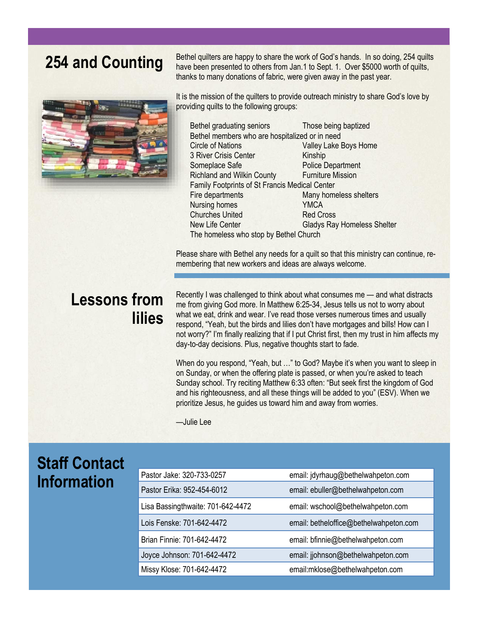

**254 and Counting** Bethel quilters are happy to share the work of God's hands. In so doing, 254 quilts and **Counting** have been presented to others from Jan.1 to Sept. 1. Over \$5000 worth of quilts, thanks to many donations of fabric, were given away in the past year.

> It is the mission of the quilters to provide outreach ministry to share God's love by providing quilts to the following groups:

Bethel graduating seniors Those being baptized Bethel members who are hospitalized or in need Circle of Nations Valley Lake Boys Home 3 River Crisis Center Kinship Someplace Safe Police Department Richland and Wilkin County Furniture Mission Family Footprints of St Francis Medical Center Fire departments Many homeless shelters Nursing homes YMCA Churches United Red Cross New Life Center Gladys Ray Homeless Shelter The homeless who stop by Bethel Church

Please share with Bethel any needs for a quilt so that this ministry can continue, remembering that new workers and ideas are always welcome.

## **Lessons from lilies**

Recently I was challenged to think about what consumes me — and what distracts me from giving God more. In Matthew 6:25-34, Jesus tells us not to worry about what we eat, drink and wear. I've read those verses numerous times and usually respond, "Yeah, but the birds and lilies don't have mortgages and bills! How can I not worry?" I'm finally realizing that if I put Christ first, then my trust in him affects my day-to-day decisions. Plus, negative thoughts start to fade.

When do you respond, "Yeah, but …" to God? Maybe it's when you want to sleep in on Sunday, or when the offering plate is passed, or when you're asked to teach Sunday school. Try reciting Matthew 6:33 often: "But seek first the kingdom of God and his righteousness, and all these things will be added to you" (ESV). When we prioritize Jesus, he guides us toward him and away from worries.

—Julie Lee

## **Staff Contact Information**

| Pastor Jake: 320-733-0257         | email: jdyrhaug@bethelwahpeton.com     |
|-----------------------------------|----------------------------------------|
| Pastor Erika: 952-454-6012        | email: ebuller@bethelwahpeton.com      |
| Lisa Bassingthwaite: 701-642-4472 | email: wschool@bethelwahpeton.com      |
| Lois Fenske: 701-642-4472         | email: betheloffice@bethelwahpeton.com |
| Brian Finnie: 701-642-4472        | email: bfinnie@bethelwahpeton.com      |
| Joyce Johnson: 701-642-4472       | email: jjohnson@bethelwahpeton.com     |
| Missy Klose: 701-642-4472         | email:mklose@bethelwahpeton.com        |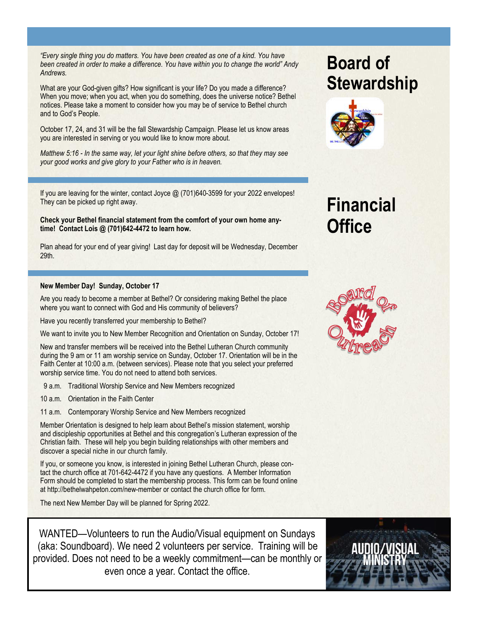*"Every single thing you do matters. You have been created as one of a kind. You have been created in order to make a difference. You have within you to change the world" Andy Andrews.*

What are your God-given gifts? How significant is your life? Do you made a difference? When you move; when you act, when you do something, does the universe notice? Bethel notices. Please take a moment to consider how you may be of service to Bethel church and to God's People.

October 17, 24, and 31 will be the fall Stewardship Campaign. Please let us know areas you are interested in serving or you would like to know more about.

*Matthew 5:16 - In the same way, let your light shine before others, so that they may see your good works and give glory to your Father who is in heaven.*

If you are leaving for the winter, contact Joyce @ (701)640-3599 for your 2022 envelopes! They can be picked up right away.

**Check your Bethel financial statement from the comfort of your own home anytime! Contact Lois @ (701)642-4472 to learn how.**

Plan ahead for your end of year giving! Last day for deposit will be Wednesday, December 29th.

#### **New Member Day! Sunday, October 17**

Are you ready to become a member at Bethel? Or considering making Bethel the place where you want to connect with God and His community of believers?

Have you recently transferred your membership to Bethel?

We want to invite you to New Member Recognition and Orientation on Sunday, October 17!

New and transfer members will be received into the Bethel Lutheran Church community during the 9 am or 11 am worship service on Sunday, October 17. Orientation will be in the Faith Center at 10:00 a.m. (between services). Please note that you select your preferred worship service time. You do not need to attend both services.

- 9 a.m. Traditional Worship Service and New Members recognized
- 10 a.m. Orientation in the Faith Center
- 11 a.m. Contemporary Worship Service and New Members recognized

Member Orientation is designed to help learn about Bethel's mission statement, worship and discipleship opportunities at Bethel and this congregation's Lutheran expression of the Christian faith. These will help you begin building relationships with other members and discover a special niche in our church family.

If you, or someone you know, is interested in joining Bethel Lutheran Church, please contact the church office at 701-642-4472 if you have any questions. A Member Information Form should be completed to start the membership process. This form can be found online at http://bethelwahpeton.com/new-member or contact the church office for form.

The next New Member Day will be planned for Spring 2022.

WANTED—Volunteers to run the Audio/Visual equipment on Sundays (aka: Soundboard). We need 2 volunteers per service. Training will be provided. Does not need to be a weekly commitment—can be monthly or even once a year. Contact the office.

## **Board of Stewardship**



## **Financial Office**



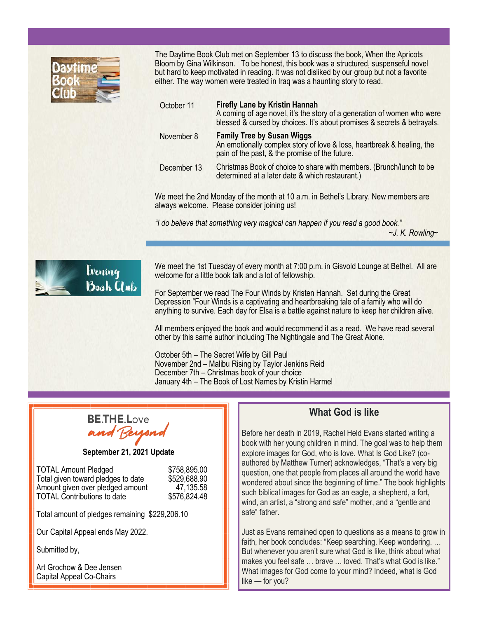

The Daytime Book Club met on September 13 to discuss the book, When the Apricots Bloom by Gina Wilkinson. To be honest, this book was a structured, suspenseful novel but hard to keep motivated in reading. It was not disliked by our group but not a favorite either. The way women were treated in Iraq was a haunting story to read.

| October 11  | <b>Firefly Lane by Kristin Hannah</b><br>A coming of age novel, it's the story of a generation of women who were<br>blessed & cursed by choices. It's about promises & secrets & betrayals. |
|-------------|---------------------------------------------------------------------------------------------------------------------------------------------------------------------------------------------|
| November 8  | <b>Family Tree by Susan Wiggs</b><br>An emotionally complex story of love & loss, heartbreak & healing, the<br>pain of the past, & the promise of the future.                               |
| December 13 | Christmas Book of choice to share with members. (Brunch/lunch to be<br>determined at a later date & which restaurant.)                                                                      |

We meet the 2nd Monday of the month at 10 a.m. in Bethel's Library. New members are always welcome. Please consider joining us!

*"I do believe that something very magical can happen if you read a good book."*

*~J. K. Rowling~*



We meet the 1st Tuesday of every month at 7:00 p.m. in Gisvold Lounge at Bethel. All are welcome for a little book talk and a lot of fellowship.

For September we read The Four Winds by Kristen Hannah. Set during the Great Depression "Four Winds is a captivating and heartbreaking tale of a family who will do anything to survive. Each day for Elsa is a battle against nature to keep her children alive.

All members enjoyed the book and would recommend it as a read. We have read several other by this same author including The Nightingale and The Great Alone.

October 5th – The Secret Wife by Gill Paul November 2nd – Malibu Rising by Taylor Jenkins Reid December 7th – Christmas book of your choice January 4th – The Book of Lost Names by Kristin Harmel

# **BETHE Love**

**September 21, 2021 Update**

| <b>TOTAL Amount Pledged</b>        | \$758,895.00 |
|------------------------------------|--------------|
| Total given toward pledges to date | \$529,688.90 |
| Amount given over pledged amount   | 47,135.58    |
| <b>TOTAL Contributions to date</b> | \$576,824.48 |

Total amount of pledges remaining \$229,206.10

Our Capital Appeal ends May 2022.

Submitted by,

Art Grochow & Dee Jensen Capital Appeal Co-Chairs

### **What God is like**

Before her death in 2019, Rachel Held Evans started writing a book with her young children in mind. The goal was to help them explore images for God, who is love. What Is God Like? (coauthored by Matthew Turner) acknowledges, "That's a very big question, one that people from places all around the world have wondered about since the beginning of time." The book highlights such biblical images for God as an eagle, a shepherd, a fort, wind, an artist, a "strong and safe" mother, and a "gentle and safe" father.

Just as Evans remained open to questions as a means to grow in faith, her book concludes: "Keep searching. Keep wondering. ... But whenever you aren't sure what God is like, think about what makes you feel safe … brave … loved. That's what God is like." What images for God come to your mind? Indeed, what is God like — for you?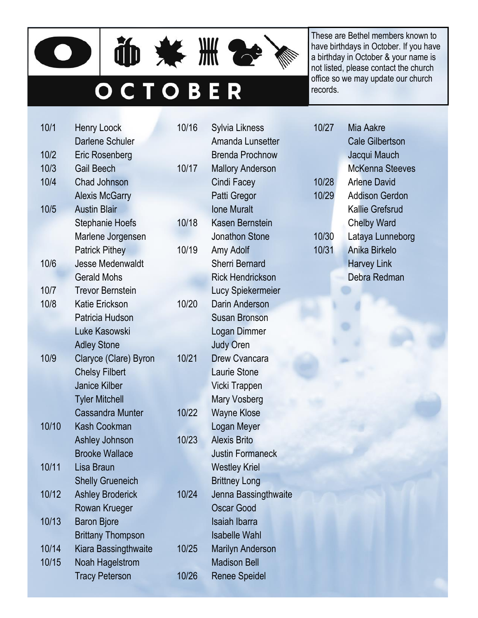



# OCTOBER

These are Bethel members known to have birthdays in October. If you have a birthday in October & your name is not listed, please contact the church office so we may update our church records.

| 10/1  | <b>Henry Loock</b>       | 10/16 | Sylvia Likness          | 10/27 |  |
|-------|--------------------------|-------|-------------------------|-------|--|
|       | Darlene Schuler          |       | Amanda Lunsetter        |       |  |
| 10/2  | Eric Rosenberg           |       | <b>Brenda Prochnow</b>  |       |  |
| 10/3  | <b>Gail Beech</b>        | 10/17 | <b>Mallory Anderson</b> |       |  |
| 10/4  | Chad Johnson             |       | Cindi Facey             | 10/28 |  |
|       | <b>Alexis McGarry</b>    |       | Patti Gregor            | 10/29 |  |
| 10/5  | <b>Austin Blair</b>      |       | <b>Ione Muralt</b>      |       |  |
|       | <b>Stephanie Hoefs</b>   | 10/18 | Kasen Bernstein         |       |  |
|       | Marlene Jorgensen        |       | <b>Jonathon Stone</b>   | 10/30 |  |
|       | <b>Patrick Pithey</b>    | 10/19 | Amy Adolf               | 10/31 |  |
| 10/6  | <b>Jesse Medenwaldt</b>  |       | <b>Sherri Bernard</b>   |       |  |
|       | <b>Gerald Mohs</b>       |       | <b>Rick Hendrickson</b> |       |  |
| 10/7  | <b>Trevor Bernstein</b>  |       | Lucy Spiekermeier       |       |  |
| 10/8  | <b>Katie Erickson</b>    | 10/20 | Darin Anderson          |       |  |
|       | Patricia Hudson          |       | <b>Susan Bronson</b>    |       |  |
|       | Luke Kasowski            |       | Logan Dimmer            |       |  |
|       | <b>Adley Stone</b>       |       | <b>Judy Oren</b>        |       |  |
| 10/9  | Claryce (Clare) Byron    | 10/21 | <b>Drew Cvancara</b>    |       |  |
|       | <b>Chelsy Filbert</b>    |       | Laurie Stone            |       |  |
|       | <b>Janice Kilber</b>     |       | Vicki Trappen           |       |  |
|       | <b>Tyler Mitchell</b>    |       | <b>Mary Vosberg</b>     |       |  |
|       | <b>Cassandra Munter</b>  | 10/22 | <b>Wayne Klose</b>      |       |  |
| 10/10 | <b>Kash Cookman</b>      |       | Logan Meyer             |       |  |
|       | Ashley Johnson           | 10/23 | <b>Alexis Brito</b>     |       |  |
|       | <b>Brooke Wallace</b>    |       | <b>Justin Formaneck</b> |       |  |
| 10/11 | Lisa Braun               |       | <b>Westley Kriel</b>    |       |  |
|       | <b>Shelly Grueneich</b>  |       | <b>Brittney Long</b>    |       |  |
| 10/12 | <b>Ashley Broderick</b>  | 10/24 | Jenna Bassingthwaite    |       |  |
|       | Rowan Krueger            |       | <b>Oscar Good</b>       |       |  |
| 10/13 | <b>Baron Bjore</b>       |       | <b>Isaiah Ibarra</b>    |       |  |
|       | <b>Brittany Thompson</b> |       | <b>Isabelle Wahl</b>    |       |  |
| 10/14 | Kiara Bassingthwaite     | 10/25 | <b>Marilyn Anderson</b> |       |  |
| 10/15 | Noah Hagelstrom          |       | <b>Madison Bell</b>     |       |  |
|       | <b>Tracy Peterson</b>    | 10/26 | <b>Renee Speidel</b>    |       |  |

| 10/27 | Mia Aakre              |  |  |  |  |  |
|-------|------------------------|--|--|--|--|--|
|       | <b>Cale Gilbertson</b> |  |  |  |  |  |
|       | Jacqui Mauch           |  |  |  |  |  |
|       | McKenna Steeves        |  |  |  |  |  |
| 10/28 | <b>Arlene David</b>    |  |  |  |  |  |
| 10/29 | <b>Addison Gerdon</b>  |  |  |  |  |  |
|       | Kallie Grefsrud        |  |  |  |  |  |
|       | <b>Chelby Ward</b>     |  |  |  |  |  |
| 10/30 | Lataya Lunneborg       |  |  |  |  |  |
| 10/31 | Anika Birkelo          |  |  |  |  |  |
|       | <b>Harvey Link</b>     |  |  |  |  |  |
|       | Debra Redman           |  |  |  |  |  |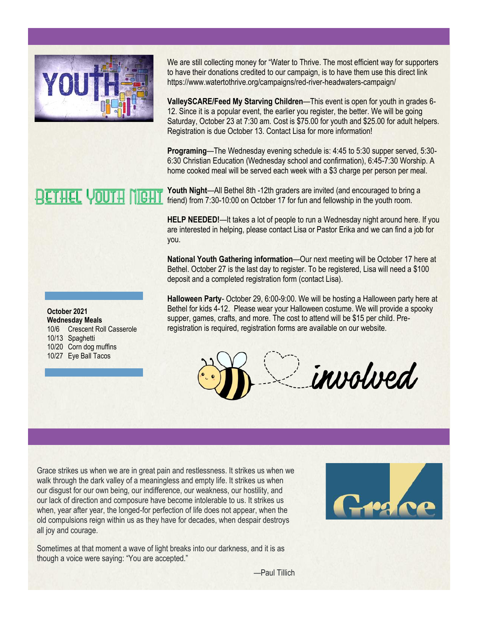

**RETHEL YOUTH** 

We are still collecting money for "Water to Thrive. The most efficient way for supporters to have their donations credited to our campaign, is to have them use this direct link https://www.watertothrive.org/campaigns/red-river-headwaters-campaign/

**ValleySCARE/Feed My Starving Children**—This event is open for youth in grades 6- 12. Since it is a popular event, the earlier you register, the better. We will be going Saturday, October 23 at 7:30 am. Cost is \$75.00 for youth and \$25.00 for adult helpers. Registration is due October 13. Contact Lisa for more information!

**Programing**—The Wednesday evening schedule is: 4:45 to 5:30 supper served, 5:30- 6:30 Christian Education (Wednesday school and confirmation), 6:45-7:30 Worship. A home cooked meal will be served each week with a \$3 charge per person per meal.

**Youth Night**—All Bethel 8th -12th graders are invited (and encouraged to bring a friend) from 7:30-10:00 on October 17 for fun and fellowship in the youth room.

**HELP NEEDED!**—It takes a lot of people to run a Wednesday night around here. If you are interested in helping, please contact Lisa or Pastor Erika and we can find a job for you.

**National Youth Gathering information**—Our next meeting will be October 17 here at Bethel. October 27 is the last day to register. To be registered, Lisa will need a \$100 deposit and a completed registration form (contact Lisa).

**Halloween Party**- October 29, 6:00-9:00. We will be hosting a Halloween party here at Bethel for kids 4-12. Please wear your Halloween costume. We will provide a spooky supper, games, crafts, and more. The cost to attend will be \$15 per child. Preregistration is required, registration forms are available on our website.

involved

Grace strikes us when we are in great pain and restlessness. It strikes us when we walk through the dark valley of a meaningless and empty life. It strikes us when our disgust for our own being, our indifference, our weakness, our hostility, and our lack of direction and composure have become intolerable to us. It strikes us when, year after year, the longed-for perfection of life does not appear, when the old compulsions reign within us as they have for decades, when despair destroys all joy and courage.

Sometimes at that moment a wave of light breaks into our darkness, and it is as though a voice were saying: "You are accepted."



—Paul Tillich

#### **October 2021 Wednesday Meals** 10/6 Crescent Roll Casserole 10/13 Spaghetti 10/20 Corn dog muffins 10/27 Eye Ball Tacos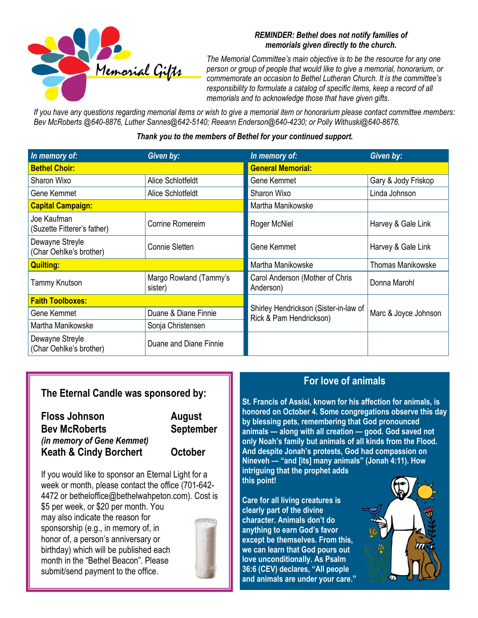

#### *REMINDER: Bethel does not notify families of memorials given directly to the church.*

*The Memorial Committee's main objective is to be the resource for any one person or group of people that would like to give a memorial, honorarium, or commemorate an occasion to Bethel Lutheran Church. It is the committee's responsibility to formulate a catalog of specific items, keep a record of all memorials and to acknowledge those that have given gifts.*

*If you have any questions regarding memorial items or wish to give a memorial item or honorarium please contact committee members: Bev McRoberts @640-8876, Luther Sannes@642-5140; Reeann Enderson@640-4230; or Polly Withuski@640-8676.*

#### *Thank you to the members of Bethel for your continued support.*

| In memory of:                              | Given by:                         | In memory of:                                                    | Given by:                |  |
|--------------------------------------------|-----------------------------------|------------------------------------------------------------------|--------------------------|--|
| <b>Bethel Choir:</b>                       |                                   | <b>General Memorial:</b>                                         |                          |  |
| Sharon Wixo                                | Alice Schlotfeldt                 | Gene Kemmet                                                      | Gary & Jody Friskop      |  |
| Gene Kemmet                                | Alice Schlotfeldt                 | Sharon Wixo                                                      | Linda Johnson            |  |
| <b>Capital Campaign:</b>                   |                                   | Martha Manikowske                                                |                          |  |
| Joe Kaufman<br>(Suzette Fitterer's father) | Corrine Romereim                  | Roger McNiel                                                     | Harvey & Gale Link       |  |
| Dewayne Streyle<br>(Char Oehlke's brother) | Connie Sletten                    | Gene Kemmet                                                      | Harvey & Gale Link       |  |
| <b>Quilting:</b>                           |                                   | Martha Manikowske                                                | <b>Thomas Manikowske</b> |  |
| Tammy Knutson                              | Margo Rowland (Tammy's<br>sister) | Carol Anderson (Mother of Chris<br>Anderson)                     | Donna Marohl             |  |
| <b>Faith Toolboxes:</b>                    |                                   |                                                                  |                          |  |
| Gene Kemmet                                | Duane & Diane Finnie              | Shirley Hendrickson (Sister-in-law of<br>Rick & Pam Hendrickson) | Marc & Joyce Johnson     |  |
| Martha Manikowske                          | Sonja Christensen                 |                                                                  |                          |  |
| Dewayne Streyle<br>(Char Oehlke's brother) | Duane and Diane Finnie            |                                                                  |                          |  |

#### **The Eternal Candle was sponsored by:**

| <b>Floss Johnson</b>              | August         |
|-----------------------------------|----------------|
| <b>Bev McRoberts</b>              | September      |
| (in memory of Gene Kemmet)        |                |
| <b>Keath &amp; Cindy Borchert</b> | <b>October</b> |

If you would like to sponsor an Eternal Light for a week or month, please contact the office (701-642- 4472 or betheloffice@bethelwahpeton.com). Cost is \$5 per week, or \$20 per month. You may also indicate the reason for sponsorship (e.g., in memory of, in honor of, a person's anniversary or birthday) which will be published each month in the "Bethel Beacon". Please submit/send payment to the office.



#### **For love of animals**

**St. Francis of Assisi, known for his affection for animals, is honored on October 4. Some congregations observe this day by blessing pets, remembering that God pronounced animals — along with all creation — good. God saved not only Noah's family but animals of all kinds from the Flood. And despite Jonah's protests, God had compassion on Nineveh — "and [its] many animals" (Jonah 4:11). How intriguing that the prophet adds this point!**

**Care for all living creatures is clearly part of the divine character. Animals don't do anything to earn God's favor except be themselves. From this, we can learn that God pours out love unconditionally. As Psalm 36:6 (CEV) declares, "All people and animals are under your care."**

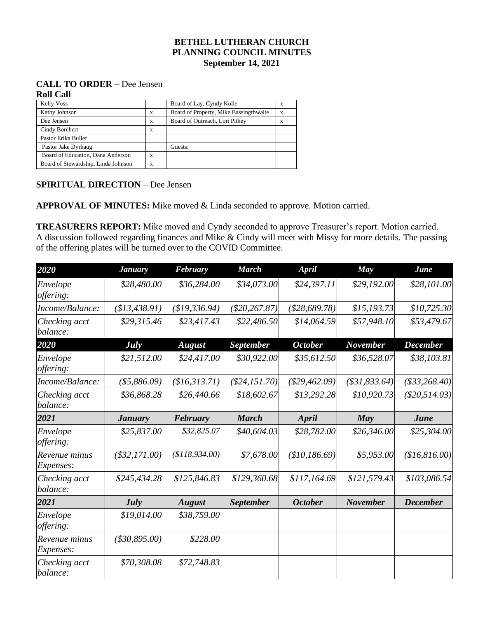#### **BETHEL LUTHERAN CHURCH PLANNING COUNCIL MINUTES September 14, 2021**

#### **CALL TO ORDER –** Dee Jensen **Roll Call**

| <b>Kelly Voss</b>                   |   | Board of Lay, Cyndy Kolle              | x |
|-------------------------------------|---|----------------------------------------|---|
| Kathy Johnson                       | X | Board of Property, Mike Bassingthwaite | X |
| Dee Jensen                          | X | Board of Outreach, Lori Pithey         | X |
| Cindy Borchert                      | X |                                        |   |
| Pastor Erika Buller                 |   |                                        |   |
| Pastor Jake Dyrhaug                 |   | Guests:                                |   |
| Board of Education, Dana Anderson   | X |                                        |   |
| Board of Stewardship, Linda Johnson | X |                                        |   |

#### **SPIRITUAL DIRECTION** – Dee Jensen

**APPROVAL OF MINUTES:** Mike moved & Linda seconded to approve. Motion carried.

**TREASURERS REPORT:** Mike moved and Cyndy seconded to approve Treasurer's report. Motion carried. A discussion followed regarding finances and Mike & Cindy will meet with Missy for more details. The passing of the offering plates will be turned over to the COVID Committee.

| 2020                         | <b>January</b>        | <b>February</b> | <b>March</b>     | <b>April</b>    | May             | June            |
|------------------------------|-----------------------|-----------------|------------------|-----------------|-----------------|-----------------|
| Envelope<br>offering:        | \$28,480.00           | \$36,284.00     | \$34,073.00      | \$24,397.11     | \$29,192.00     | \$28,101.00     |
| Income/Balance:              | (\$13,438.91)         | \$19,336.94)    | $(\$20, 267.87)$ | (\$28,689.78)   | \$15,193.73     | \$10,725.30     |
| Checking acct<br>balance:    | \$29,315.46           | \$23,417.43     | \$22,486.50      | \$14,064.59     | \$57,948.10     | \$53,479.67     |
| 2020                         | <b>July</b>           | <b>August</b>   | <b>September</b> | <b>October</b>  | <b>November</b> | <b>December</b> |
| Envelope<br><i>offering:</i> | \$21,512.00           | \$24,417.00     | \$30,922.00      | \$35,612.50     | \$36,528.07     | \$38,103.81     |
| Income/Balance:              | (\$5,886.09)          | \$16,313.71)    | $(\$24,151.70)$  | $(\$29,462.09)$ | (\$31,833.64)   | ( \$33, 268.40) |
| Checking acct<br>balance:    | \$36,868.28           | \$26,440.66     | \$18,602.67      | \$13,292.28     | \$10,920.73     | $(\$20,514.03)$ |
| 2021                         | <b><i>January</i></b> | February        | <b>March</b>     | April           | May             | June            |
| Envelope<br><i>offering:</i> | \$25,837.00           | \$32,825.07     | \$40,604.03      | \$28,782.00     | \$26,346.00     | \$25,304.00     |
| Revenue minus<br>Expenses:   | $(\$32,171.00)$       | \$118,934.00    | \$7,678.00       | \$10,186.69     | \$5,953.00      | \$16,816.00     |
| Checking acct<br>balance:    | \$245,434.28          | \$125,846.83    | \$129,360.68     | \$117,164.69    | \$121,579.43    | \$103,086.54    |
| 2021                         | July                  | <b>August</b>   | <b>September</b> | <b>October</b>  | <b>November</b> | <b>December</b> |
| Envelope<br><i>offering:</i> | \$19,014.00           | \$38,759.00     |                  |                 |                 |                 |
| Revenue minus<br>Expenses:   | $(*30,895.00)$        | \$228.00        |                  |                 |                 |                 |
| Checking acct<br>balance:    | \$70,308.08           | \$72,748.83     |                  |                 |                 |                 |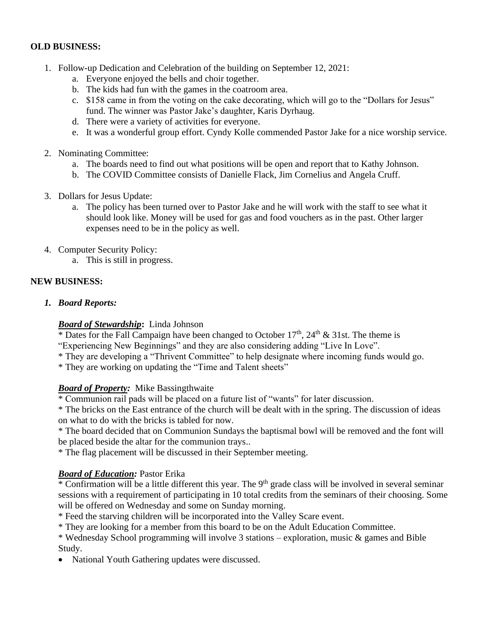#### **OLD BUSINESS:**

- 1. Follow-up Dedication and Celebration of the building on September 12, 2021:
	- a. Everyone enjoyed the bells and choir together.
	- b. The kids had fun with the games in the coatroom area.
	- c. \$158 came in from the voting on the cake decorating, which will go to the "Dollars for Jesus" fund. The winner was Pastor Jake's daughter, Karis Dyrhaug.
	- d. There were a variety of activities for everyone.
	- e. It was a wonderful group effort. Cyndy Kolle commended Pastor Jake for a nice worship service.
- 2. Nominating Committee:
	- a. The boards need to find out what positions will be open and report that to Kathy Johnson.
	- b. The COVID Committee consists of Danielle Flack, Jim Cornelius and Angela Cruff.
- 3. Dollars for Jesus Update:
	- a. The policy has been turned over to Pastor Jake and he will work with the staff to see what it should look like. Money will be used for gas and food vouchers as in the past. Other larger expenses need to be in the policy as well.
- 4. Computer Security Policy:
	- a. This is still in progress.

#### **NEW BUSINESS:**

*1. Board Reports:*

#### *Board of Stewardship***:** Linda Johnson

\* Dates for the Fall Campaign have been changed to October  $17<sup>th</sup>$ ,  $24<sup>th</sup>$  & 31st. The theme is

"Experiencing New Beginnings" and they are also considering adding "Live In Love".

\* They are developing a "Thrivent Committee" to help designate where incoming funds would go.

\* They are working on updating the "Time and Talent sheets"

#### *Board of Property:* Mike Bassingthwaite

\* Communion rail pads will be placed on a future list of "wants" for later discussion.

\* The bricks on the East entrance of the church will be dealt with in the spring. The discussion of ideas on what to do with the bricks is tabled for now.

\* The board decided that on Communion Sundays the baptismal bowl will be removed and the font will be placed beside the altar for the communion trays..

\* The flag placement will be discussed in their September meeting.

#### *Board of Education:* Pastor Erika

\* Confirmation will be a little different this year. The 9th grade class will be involved in several seminar sessions with a requirement of participating in 10 total credits from the seminars of their choosing. Some will be offered on Wednesday and some on Sunday morning.

\* Feed the starving children will be incorporated into the Valley Scare event.

\* They are looking for a member from this board to be on the Adult Education Committee.

\* Wednesday School programming will involve 3 stations – exploration, music & games and Bible Study.

• National Youth Gathering updates were discussed.